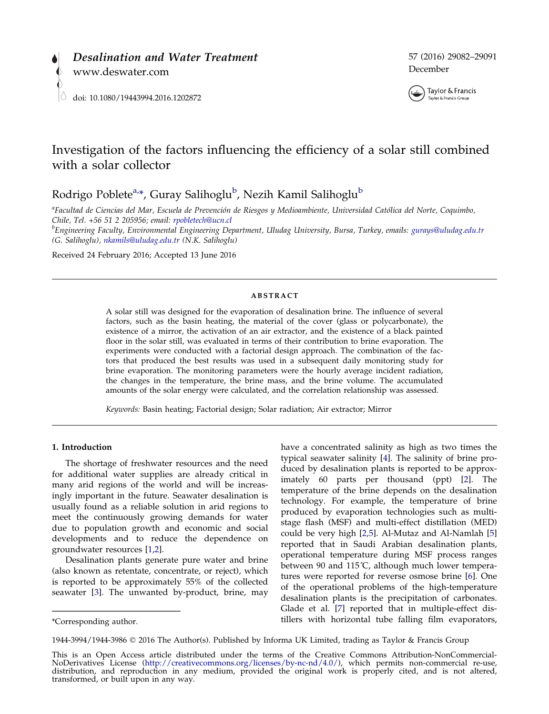<span id="page-0-0"></span>



# Investigation of the factors influencing the efficiency of a solar still combined with a solar collector

Rodrigo Poblete<sup>a,</sup>\*, Guray Salihoglu<sup>b</sup>, Nezih Kamil Salihoglu<sup>b</sup>

<sup>a</sup>Facultad de Ciencias del Mar, Escuela de Prevención de Riesgos y Medioambiente, Universidad Católica del Norte, Coquimbo, Chile, Tel. +56 51 2 205956; email: [rpobletech@ucn.cl](mailto:rpobletech@ucn.cl) <sup>b</sup>

 ${}^b$ Engineering Faculty, Environmental Engineering Department, Uludag University, Bursa, Turkey, emails: [gurays@uludag.edu.tr](mailto:gurays@uludag.edu.tr) (G. Salihoglu), [nkamils@uludag.edu.tr](mailto:nkamils@uludag.edu.tr) (N.K. Salihoglu)

Received 24 February 2016; Accepted 13 June 2016

#### ABSTRACT

A solar still was designed for the evaporation of desalination brine. The influence of several factors, such as the basin heating, the material of the cover (glass or polycarbonate), the existence of a mirror, the activation of an air extractor, and the existence of a black painted floor in the solar still, was evaluated in terms of their contribution to brine evaporation. The experiments were conducted with a factorial design approach. The combination of the factors that produced the best results was used in a subsequent daily monitoring study for brine evaporation. The monitoring parameters were the hourly average incident radiation, the changes in the temperature, the brine mass, and the brine volume. The accumulated amounts of the solar energy were calculated, and the correlation relationship was assessed.

Keywords: Basin heating; Factorial design; Solar radiation; Air extractor; Mirror

### 1. Introduction

The shortage of freshwater resources and the need for additional water supplies are already critical in many arid regions of the world and will be increasingly important in the future. Seawater desalination is usually found as a reliable solution in arid regions to meet the continuously growing demands for water due to population growth and economic and social developments and to reduce the dependence on groundwater resources [\[1,2](#page-8-0)].

Desalination plants generate pure water and brine (also known as retentate, concentrate, or reject), which is reported to be approximately 55% of the collected seawater [[3\]](#page-8-0). The unwanted by-product, brine, may

have a concentrated salinity as high as two times the typical seawater salinity [\[4](#page-8-0)]. The salinity of brine produced by desalination plants is reported to be approximately 60 parts per thousand (ppt) [\[2\]](#page-8-0). The temperature of the brine depends on the desalination technology. For example, the temperature of brine produced by evaporation technologies such as multistage flash (MSF) and multi-effect distillation (MED) could be very high [\[2,5](#page-8-0)]. Al-Mutaz and Al-Namlah [[5\]](#page-8-0) reported that in Saudi Arabian desalination plants, operational temperature during MSF process ranges between 90 and 115˚C, although much lower temperatures were reported for reverse osmose brine [[6\]](#page-8-0). One of the operational problems of the high-temperature desalination plants is the precipitation of carbonates. Glade et al. [\[7\]](#page-8-0) reported that in multiple-effect distillers with horizontal tube falling film evaporators, \*Corresponding author.

1944-3994/1944-3986 2016 The Author(s). Published by Informa UK Limited, trading as Taylor & Francis Group

This is an Open Access article distributed under the terms of the Creative Commons Attribution-NonCommercial-<br>NoDerivatives License (http://creativecommons.org/licenses/by-nc-nd/4.0/), which permits non-commercial re-use, NoDerivatives License (<http://creativecommons.org/licenses/by-nc-nd/4.0/>), which permits non-commercial re-use, distribution, and reproduction in any medium, provided the original work is properly cited, and is not altered, transformed, or built upon in any way.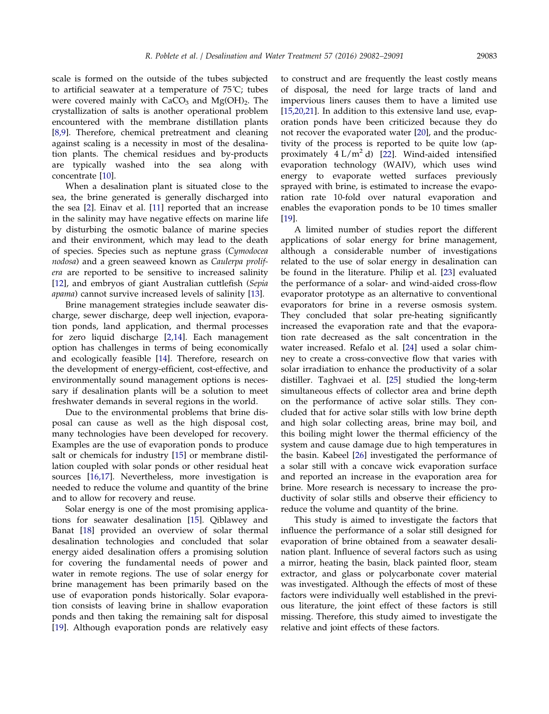<span id="page-1-0"></span>scale is formed on the outside of the tubes subjected to artificial seawater at a temperature of 75˚C; tubes were covered mainly with  $CaCO<sub>3</sub>$  and  $Mg(OH)<sub>2</sub>$ . The crystallization of salts is another operational problem encountered with the membrane distillation plants [[8,9](#page-8-0)]. Therefore, chemical pretreatment and cleaning against scaling is a necessity in most of the desalination plants. The chemical residues and by-products are typically washed into the sea along with concentrate [[10](#page-8-0)].

When a desalination plant is situated close to the sea, the brine generated is generally discharged into the sea [\[2](#page-8-0)]. Einav et al. [\[11\]](#page-8-0) reported that an increase in the salinity may have negative effects on marine life by disturbing the osmotic balance of marine species and their environment, which may lead to the death of species. Species such as neptune grass (Cymodocea nodosa) and a green seaweed known as Caulerpa prolifera are reported to be sensitive to increased salinity [[12\]](#page-8-0), and embryos of giant Australian cuttlefish (Sepia apama) cannot survive increased levels of salinity [[13](#page-8-0)].

Brine management strategies include seawater discharge, sewer discharge, deep well injection, evaporation ponds, land application, and thermal processes for zero liquid discharge [\[2,14](#page-8-0)]. Each management option has challenges in terms of being economically and ecologically feasible [\[14\]](#page-8-0). Therefore, research on the development of energy-efficient, cost-effective, and environmentally sound management options is necessary if desalination plants will be a solution to meet freshwater demands in several regions in the world.

Due to the environmental problems that brine disposal can cause as well as the high disposal cost, many technologies have been developed for recovery. Examples are the use of evaporation ponds to produce salt or chemicals for industry [\[15\]](#page-8-0) or membrane distillation coupled with solar ponds or other residual heat sources [[16,17\]](#page-8-0). Nevertheless, more investigation is needed to reduce the volume and quantity of the brine and to allow for recovery and reuse.

Solar energy is one of the most promising applications for seawater desalination [\[15](#page-8-0)]. Qiblawey and Banat [[18\]](#page-8-0) provided an overview of solar thermal desalination technologies and concluded that solar energy aided desalination offers a promising solution for covering the fundamental needs of power and water in remote regions. The use of solar energy for brine management has been primarily based on the use of evaporation ponds historically. Solar evaporation consists of leaving brine in shallow evaporation ponds and then taking the remaining salt for disposal [[19\]](#page-8-0). Although evaporation ponds are relatively easy

to construct and are frequently the least costly means of disposal, the need for large tracts of land and impervious liners causes them to have a limited use [\[15,20,21\]](#page-8-0). In addition to this extensive land use, evaporation ponds have been criticized because they do not recover the evaporated water [\[20\]](#page-8-0), and the productivity of the process is reported to be quite low (approximately  $4 L/m^2 d$  [\[22\]](#page-9-0). Wind-aided intensified evaporation technology (WAIV), which uses wind energy to evaporate wetted surfaces previously sprayed with brine, is estimated to increase the evaporation rate 10-fold over natural evaporation and enables the evaporation ponds to be 10 times smaller [\[19\]](#page-8-0).

A limited number of studies report the different applications of solar energy for brine management, although a considerable number of investigations related to the use of solar energy in desalination can be found in the literature. Philip et al. [[23](#page-9-0)] evaluated the performance of a solar- and wind-aided cross-flow evaporator prototype as an alternative to conventional evaporators for brine in a reverse osmosis system. They concluded that solar pre-heating significantly increased the evaporation rate and that the evaporation rate decreased as the salt concentration in the water increased. Refalo et al. [\[24\]](#page-9-0) used a solar chimney to create a cross-convective flow that varies with solar irradiation to enhance the productivity of a solar distiller. Taghvaei et al. [\[25\]](#page-9-0) studied the long-term simultaneous effects of collector area and brine depth on the performance of active solar stills. They concluded that for active solar stills with low brine depth and high solar collecting areas, brine may boil, and this boiling might lower the thermal efficiency of the system and cause damage due to high temperatures in the basin. Kabeel [[26](#page-9-0)] investigated the performance of a solar still with a concave wick evaporation surface and reported an increase in the evaporation area for brine. More research is necessary to increase the productivity of solar stills and observe their efficiency to reduce the volume and quantity of the brine.

This study is aimed to investigate the factors that influence the performance of a solar still designed for evaporation of brine obtained from a seawater desalination plant. Influence of several factors such as using a mirror, heating the basin, black painted floor, steam extractor, and glass or polycarbonate cover material was investigated. Although the effects of most of these factors were individually well established in the previous literature, the joint effect of these factors is still missing. Therefore, this study aimed to investigate the relative and joint effects of these factors.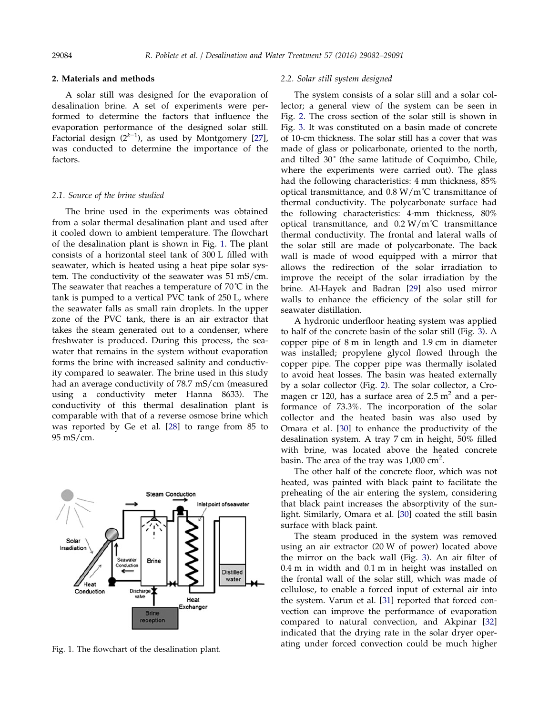<span id="page-2-0"></span>

# 2. Materials and methods

A solar still was designed for the evaporation of desalination brine. A set of experiments were performed to determine the factors that influence the evaporation performance of the designed solar still. Factorial design  $(2^{k-1})$ , as used by Montgomery [[27](#page-9-0)], was conducted to determine the importance of the factors.

#### 2.1. Source of the brine studied

The brine used in the experiments was obtained from a solar thermal desalination plant and used after it cooled down to ambient temperature. The flowchart of the desalination plant is shown in Fig. 1. The plant consists of a horizontal steel tank of 300 L filled with seawater, which is heated using a heat pipe solar system. The conductivity of the seawater was 51 mS/cm. The seawater that reaches a temperature of  $70^{\circ}$ C in the tank is pumped to a vertical PVC tank of 250 L, where the seawater falls as small rain droplets. In the upper zone of the PVC tank, there is an air extractor that takes the steam generated out to a condenser, where freshwater is produced. During this process, the seawater that remains in the system without evaporation forms the brine with increased salinity and conductivity compared to seawater. The brine used in this study had an average conductivity of 78.7 mS/cm (measured using a conductivity meter Hanna 8633). The conductivity of this thermal desalination plant is comparable with that of a reverse osmose brine which was reported by Ge et al. [\[28\]](#page-9-0) to range from 85 to 95 mS/cm.



### 2.2. Solar still system designed

The system consists of a solar still and a solar collector; a general view of the system can be seen in Fig. [2.](#page-3-0) The cross section of the solar still is shown in Fig. [3](#page-3-0). It was constituted on a basin made of concrete of 10-cm thickness. The solar still has a cover that was made of glass or policarbonate, oriented to the north, and tilted 30˚ (the same latitude of Coquimbo, Chile, where the experiments were carried out). The glass had the following characteristics: 4 mm thickness, 85% optical transmittance, and  $0.8 \text{ W/m}^{\circ}$ C transmittance of thermal conductivity. The polycarbonate surface had the following characteristics: 4-mm thickness, 80% optical transmittance, and  $0.2 \text{ W/m}^{\circ}$ C transmittance thermal conductivity. The frontal and lateral walls of the solar still are made of polycarbonate. The back wall is made of wood equipped with a mirror that allows the redirection of the solar irradiation to improve the receipt of the solar irradiation by the brine. Al-Hayek and Badran [\[29\]](#page-9-0) also used mirror walls to enhance the efficiency of the solar still for seawater distillation.

A hydronic underfloor heating system was applied to half of the concrete basin of the solar still (Fig. [3](#page-3-0)). A copper pipe of 8 m in length and 1.9 cm in diameter was installed; propylene glycol flowed through the copper pipe. The copper pipe was thermally isolated to avoid heat losses. The basin was heated externally by a solar collector (Fig. [2](#page-3-0)). The solar collector, a Cromagen cr 120, has a surface area of  $2.5 \text{ m}^2$  and a performance of 73.3%. The incorporation of the solar collector and the heated basin was also used by Omara et al. [\[30\]](#page-9-0) to enhance the productivity of the desalination system. A tray 7 cm in height, 50% filled with brine, was located above the heated concrete basin. The area of the tray was 1,000  $\text{cm}^2$ .

The other half of the concrete floor, which was not heated, was painted with black paint to facilitate the preheating of the air entering the system, considering that black paint increases the absorptivity of the sunlight. Similarly, Omara et al. [\[30\]](#page-9-0) coated the still basin surface with black paint.

The steam produced in the system was removed using an air extractor (20 W of power) located above the mirror on the back wall (Fig. [3\)](#page-3-0). An air filter of 0.4 m in width and 0.1 m in height was installed on the frontal wall of the solar still, which was made of cellulose, to enable a forced input of external air into the system. Varun et al. [[31](#page-9-0)] reported that forced convection can improve the performance of evaporation compared to natural convection, and Akpinar [[32\]](#page-9-0) indicated that the drying rate in the solar dryer operating under forced convection could be much higher Fig. 1. The flowchart of the desalination plant.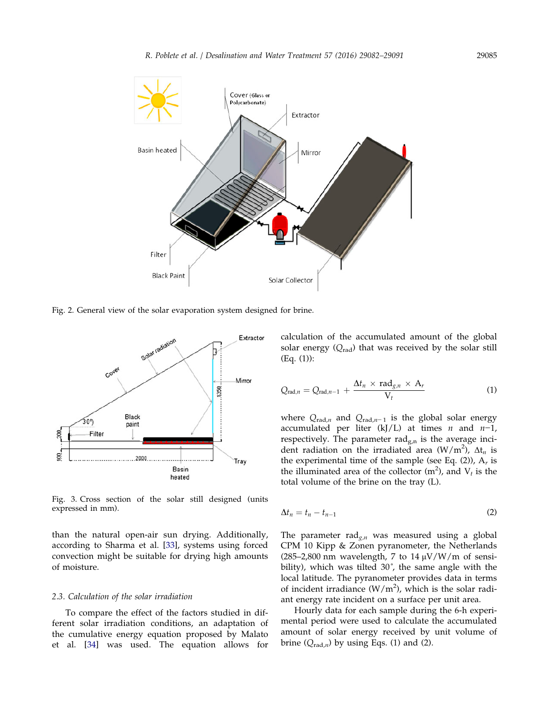<span id="page-3-0"></span>

Fig. 2. General view of the solar evaporation system designed for brine.



Fig. 3. Cross section of the solar still designed (units expressed in mm).

than the natural open-air sun drying. Additionally, according to Sharma et al. [\[33\]](#page-9-0), systems using forced convection might be suitable for drying high amounts of moisture.

## 2.3. Calculation of the solar irradiation

To compare the effect of the factors studied in different solar irradiation conditions, an adaptation of the cumulative energy equation proposed by Malato et al. [[34](#page-9-0)] was used. The equation allows for

calculation of the accumulated amount of the global solar energy  $(Q_{rad})$  that was received by the solar still (Eq. (1)):

$$
Q_{\text{rad},n} = Q_{\text{rad},n-1} + \frac{\Delta t_n \times \text{rad}_{g,n} \times A_r}{V_t}
$$
 (1)

where  $Q_{rad,n}$  and  $Q_{rad,n-1}$  is the global solar energy accumulated per liter (kJ/L) at times  $n$  and  $n-1$ , respectively. The parameter rad $_{g,n}$  is the average incident radiation on the irradiated area  $(W/m^2)$ ,  $\Delta t_n$  is the experimental time of the sample (see Eq. (2)),  $A_r$  is the illuminated area of the collector  $(m^2)$ , and  $V_t$  is the total volume of the brine on the tray (L).

$$
\Delta t_n = t_n - t_{n-1} \tag{2}
$$

The parameter rad $_{g,n}$  was measured using a global CPM 10 Kipp & Zonen pyranometer, the Netherlands (285–2,800 nm wavelength, 7 to 14  $\mu$ V/W/m of sensibility), which was tilted 30˚, the same angle with the local latitude. The pyranometer provides data in terms of incident irradiance  $(W/m^2)$ , which is the solar radiant energy rate incident on a surface per unit area.

Hourly data for each sample during the 6-h experimental period were used to calculate the accumulated amount of solar energy received by unit volume of brine  $(Q_{rad,n})$  by using Eqs. (1) and (2).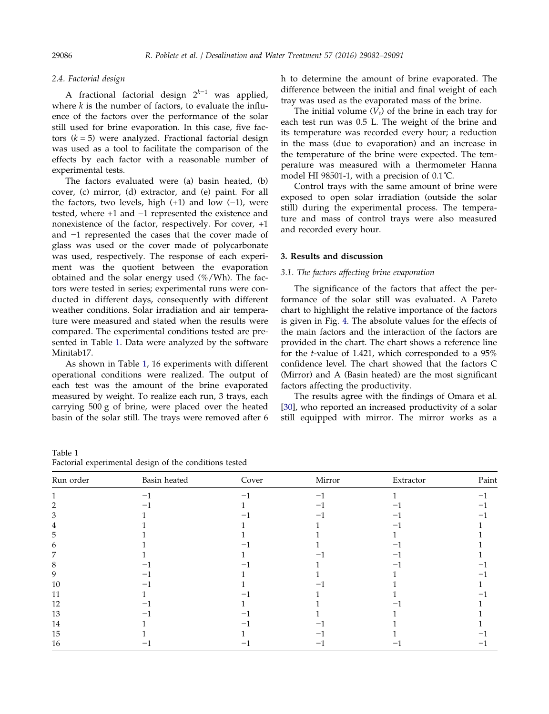<span id="page-4-0"></span>

# 2.4. Factorial design

A fractional factorial design  $2^{k-1}$  was applied, where  $k$  is the number of factors, to evaluate the influence of the factors over the performance of the solar still used for brine evaporation. In this case, five factors  $(k = 5)$  were analyzed. Fractional factorial design was used as a tool to facilitate the comparison of the effects by each factor with a reasonable number of experimental tests.

The factors evaluated were (a) basin heated, (b) cover, (c) mirror, (d) extractor, and (e) paint. For all the factors, two levels, high  $(+1)$  and low  $(-1)$ , were tested, where +1 and −1 represented the existence and nonexistence of the factor, respectively. For cover, +1 and −1 represented the cases that the cover made of glass was used or the cover made of polycarbonate was used, respectively. The response of each experiment was the quotient between the evaporation obtained and the solar energy used  $(\%/Wh)$ . The factors were tested in series; experimental runs were conducted in different days, consequently with different weather conditions. Solar irradiation and air temperature were measured and stated when the results were compared. The experimental conditions tested are presented in Table 1. Data were analyzed by the software Minitab17.

As shown in Table 1, 16 experiments with different operational conditions were realized. The output of each test was the amount of the brine evaporated measured by weight. To realize each run, 3 trays, each carrying 500 g of brine, were placed over the heated basin of the solar still. The trays were removed after 6

Table 1 Factorial experimental design of the conditions tested

h to determine the amount of brine evaporated. The difference between the initial and final weight of each tray was used as the evaporated mass of the brine.

The initial volume  $(V_t)$  of the brine in each tray for each test run was 0.5 L. The weight of the brine and its temperature was recorded every hour; a reduction in the mass (due to evaporation) and an increase in the temperature of the brine were expected. The temperature was measured with a thermometer Hanna model HI 98501-1, with a precision of 0.1˚C.

Control trays with the same amount of brine were exposed to open solar irradiation (outside the solar still) during the experimental process. The temperature and mass of control trays were also measured and recorded every hour.

### 3. Results and discussion

### 3.1. The factors affecting brine evaporation

The significance of the factors that affect the performance of the solar still was evaluated. A Pareto chart to highlight the relative importance of the factors is given in Fig. [4](#page-5-0). The absolute values for the effects of the main factors and the interaction of the factors are provided in the chart. The chart shows a reference line for the t-value of 1.421, which corresponded to a 95% confidence level. The chart showed that the factors C (Mirror) and A (Basin heated) are the most significant factors affecting the productivity.

The results agree with the findings of Omara et al. [\[30\]](#page-9-0), who reported an increased productivity of a solar still equipped with mirror. The mirror works as a

| Run order | Basin heated | Cover | Mirror | Extractor | Paint |
|-----------|--------------|-------|--------|-----------|-------|
|           |              |       | $-1$   |           |       |
| 7         |              |       |        |           |       |
| 3         |              |       |        |           |       |
| 4         |              |       |        |           |       |
| 5         |              |       |        |           |       |
| 6         |              |       |        |           |       |
| 7         |              |       |        |           |       |
| 8         |              |       |        |           |       |
| 9         |              |       |        |           |       |
| 10        |              |       |        |           |       |
| 11        |              |       |        |           |       |
| 12        |              |       |        |           |       |
| 13        |              |       |        |           |       |
| 14        |              |       |        |           |       |
| 15        |              |       |        |           |       |
| 16        |              |       |        |           |       |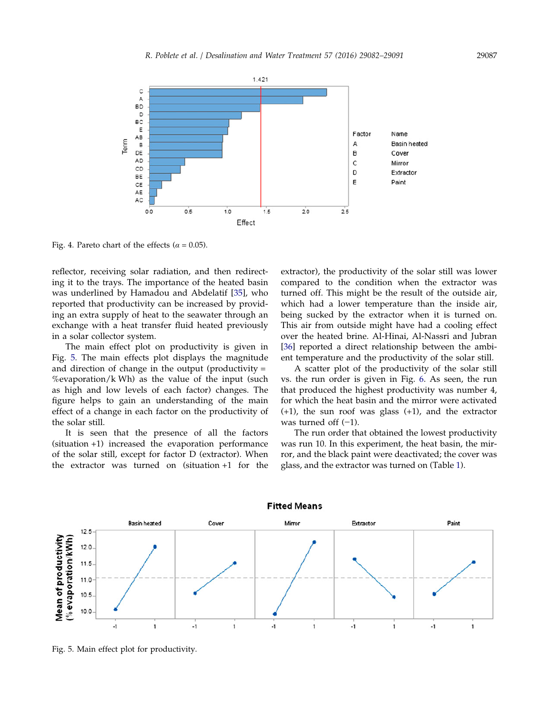<span id="page-5-0"></span>

Fig. 4. Pareto chart of the effects ( $\alpha$  = 0.05).

reflector, receiving solar radiation, and then redirecting it to the trays. The importance of the heated basin was underlined by Hamadou and Abdelatif [[35](#page-9-0)], who reported that productivity can be increased by providing an extra supply of heat to the seawater through an exchange with a heat transfer fluid heated previously in a solar collector system.

The main effect plot on productivity is given in Fig. 5. The main effects plot displays the magnitude and direction of change in the output (productivity  $=$ %evaporation/k Wh) as the value of the input (such as high and low levels of each factor) changes. The figure helps to gain an understanding of the main effect of a change in each factor on the productivity of the solar still.

It is seen that the presence of all the factors (situation +1) increased the evaporation performance of the solar still, except for factor D (extractor). When the extractor was turned on (situation +1 for the

extractor), the productivity of the solar still was lower compared to the condition when the extractor was turned off. This might be the result of the outside air, which had a lower temperature than the inside air, being sucked by the extractor when it is turned on. This air from outside might have had a cooling effect over the heated brine. Al-Hinai, Al-Nassri and Jubran [\[36\]](#page-9-0) reported a direct relationship between the ambient temperature and the productivity of the solar still.

A scatter plot of the productivity of the solar still vs. the run order is given in Fig. [6](#page-6-0). As seen, the run that produced the highest productivity was number 4, for which the heat basin and the mirror were activated (+1), the sun roof was glass (+1), and the extractor was turned off  $(-1)$ .

The run order that obtained the lowest productivity was run 10. In this experiment, the heat basin, the mirror, and the black paint were deactivated; the cover was glass, and the extractor was turned on (Table [1](#page-4-0)).



Fig. 5. Main effect plot for productivity.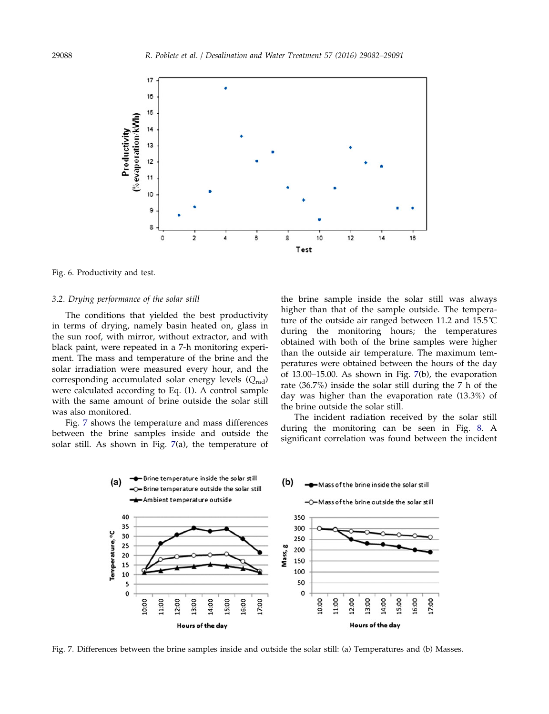<span id="page-6-0"></span>

Fig. 6. Productivity and test.

### 3.2. Drying performance of the solar still

The conditions that yielded the best productivity in terms of drying, namely basin heated on, glass in the sun roof, with mirror, without extractor, and with black paint, were repeated in a 7-h monitoring experiment. The mass and temperature of the brine and the solar irradiation were measured every hour, and the corresponding accumulated solar energy levels  $(Q_{rad})$ were calculated according to Eq. (1). A control sample with the same amount of brine outside the solar still was also monitored.

Fig. 7 shows the temperature and mass differences between the brine samples inside and outside the solar still. As shown in Fig. 7(a), the temperature of

the brine sample inside the solar still was always higher than that of the sample outside. The temperature of the outside air ranged between 11.2 and 15.5˚C during the monitoring hours; the temperatures obtained with both of the brine samples were higher than the outside air temperature. The maximum temperatures were obtained between the hours of the day of 13.00–15.00. As shown in Fig. 7(b), the evaporation rate (36.7%) inside the solar still during the 7 h of the day was higher than the evaporation rate (13.3%) of the brine outside the solar still.

The incident radiation received by the solar still during the monitoring can be seen in Fig. [8.](#page-7-0) A significant correlation was found between the incident



Fig. 7. Differences between the brine samples inside and outside the solar still: (a) Temperatures and (b) Masses.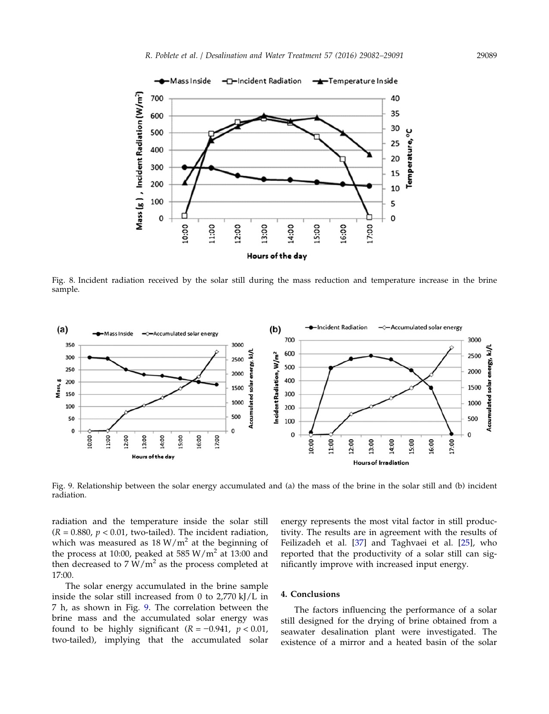<span id="page-7-0"></span>

Fig. 8. Incident radiation received by the solar still during the mass reduction and temperature increase in the brine sample.



Fig. 9. Relationship between the solar energy accumulated and (a) the mass of the brine in the solar still and (b) incident radiation.

radiation and the temperature inside the solar still  $(R = 0.880, p < 0.01$ , two-tailed). The incident radiation, which was measured as  $18 W/m^2$  at the beginning of the process at 10:00, peaked at 585  $W/m^2$  at 13:00 and then decreased to  $7 W/m^2$  as the process completed at 17:00.

The solar energy accumulated in the brine sample inside the solar still increased from 0 to 2,770 kJ/L in 7 h, as shown in Fig. 9. The correlation between the brine mass and the accumulated solar energy was found to be highly significant  $(R = -0.941, p < 0.01,$ two-tailed), implying that the accumulated solar energy represents the most vital factor in still productivity. The results are in agreement with the results of Feilizadeh et al. [\[37\]](#page-9-0) and Taghvaei et al. [[25\]](#page-9-0), who reported that the productivity of a solar still can significantly improve with increased input energy.

# 4. Conclusions

The factors influencing the performance of a solar still designed for the drying of brine obtained from a seawater desalination plant were investigated. The existence of a mirror and a heated basin of the solar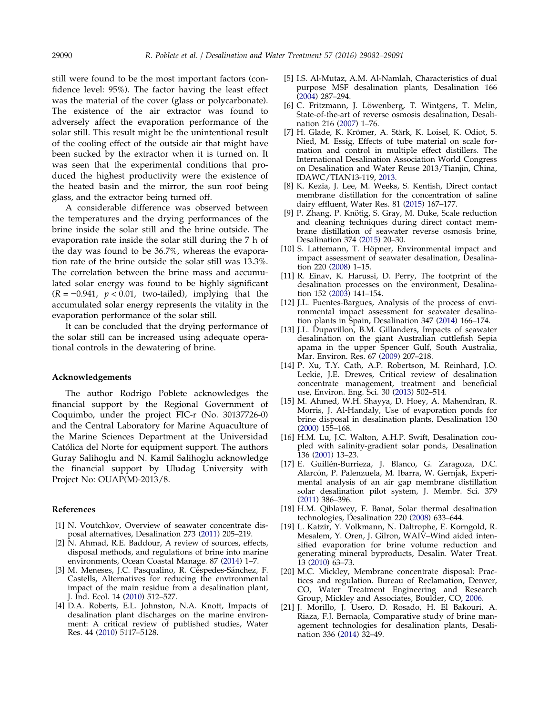<span id="page-8-0"></span>still were found to be the most important factors (confidence level: 95%). The factor having the least effect was the material of the cover (glass or polycarbonate). The existence of the air extractor was found to adversely affect the evaporation performance of the solar still. This result might be the unintentional result of the cooling effect of the outside air that might have been sucked by the extractor when it is turned on. It was seen that the experimental conditions that produced the highest productivity were the existence of the heated basin and the mirror, the sun roof being glass, and the extractor being turned off.

A considerable difference was observed between the temperatures and the drying performances of the brine inside the solar still and the brine outside. The evaporation rate inside the solar still during the 7 h of the day was found to be 36.7%, whereas the evaporation rate of the brine outside the solar still was 13.3%. The correlation between the brine mass and accumulated solar energy was found to be highly significant  $(R = -0.941, p < 0.01,$  two-tailed), implying that the accumulated solar energy represents the vitality in the evaporation performance of the solar still.

It can be concluded that the drying performance of the solar still can be increased using adequate operational controls in the dewatering of brine.

### Acknowledgements

The author Rodrigo Poblete acknowledges the financial support by the Regional Government of Coquimbo, under the project FIC-r (No. 30137726-0) and the Central Laboratory for Marine Aquaculture of the Marine Sciences Department at the Universidad Católica del Norte for equipment support. The authors Guray Salihoglu and N. Kamil Salihoglu acknowledge the financial support by Uludag University with Project No: OUAP(M)-2013/8.

### References

- [1] N. Voutchkov, Overview of seawater concentrate disposal alternatives, Desalination 273 (2011) 205–219.
- [2] N. Ahmad, R.E. Baddour, A review of sources, effects, disposal methods, and regulations of brine into marine environments, Ocean Coastal Manage. 87 [\(2014\)](#page-0-0) 1–7.
- [3] M. Meneses, J.C. Pasqualino, R. Céspedes-Sánchez, F. Castells, Alternatives for reducing the environmental impact of the main residue from a desalination plant, J. Ind. Ecol. 14 ([2010](#page-0-0)) 512–527.
- [4] D.A. Roberts, E.L. Johnston, N.A. Knott, Impacts of desalination plant discharges on the marine environment: A critical review of published studies, Water Res. 44 [\(2010](#page-0-0)) 5117–5128.
- [5] I.S. Al-Mutaz, A.M. Al-Namlah, Characteristics of dual purpose MSF desalination plants, Desalination 166 [\(2004](#page-0-0)) 287–294.
- [6] C. Fritzmann, J. Löwenberg, T. Wintgens, T. Melin, State-of-the-art of reverse osmosis desalination, Desalination 216 ([2007\)](#page-0-0) 1–76.
- [7] H. Glade, K. Krömer, A. Stärk, K. Loisel, K. Odiot, S. Nied, M. Essig, Effects of tube material on scale formation and control in multiple effect distillers. The International Desalination Association World Congress on Desalination and Water Reuse 2013/Tianjin, China, IDAWC/TIAN13-119, [2013](#page-0-0).
- [8] K. Kezia, J. Lee, M. Weeks, S. Kentish, Direct contact membrane distillation for the concentration of saline dairy effluent, Water Res. 81 (2015) 167–177.
- [9] P. Zhang, P. Knötig, S. Gray, M. Duke, Scale reduction and cleaning techniques during direct contact membrane distillation of seawater reverse osmosis brine, Desalination 374 (2015) 20–30.
- [10] S. Lattemann, T. Höpner, Environmental impact and impact assessment of seawater desalination, Desalination 220 [\(2008](#page-1-0)) 1–15.
- [11] R. Einav, K. Harussi, D. Perry, The footprint of the desalination processes on the environment, Desalination 152 [\(2003](#page-1-0)) 141–154.
- [12] J.L. Fuentes-Bargues, Analysis of the process of environmental impact assessment for seawater desalination plants in Spain, Desalination 347 [\(2014](#page-1-0)) 166–174.
- [13] J.L. Dupavillon, B.M. Gillanders, Impacts of seawater desalination on the giant Australian cuttlefish Sepia apama in the upper Spencer Gulf, South Australia, Mar. Environ. Res. 67 ([2009](#page-1-0)) 207–218.
- [14] P. Xu, T.Y. Cath, A.P. Robertson, M. Reinhard, J.O. Leckie, J.E. Drewes, Critical review of desalination concentrate management, treatment and beneficial use, Environ. Eng. Sci. 30 ([2013\)](#page-1-0) 502–514.
- [15] M. Ahmed, W.H. Shayya, D. Hoey, A. Mahendran, R. Morris, J. Al-Handaly, Use of evaporation ponds for brine disposal in desalination plants, Desalination 130 [\(2000](#page-1-0)) 155–168.
- [16] H.M. Lu, J.C. Walton, A.H.P. Swift, Desalination coupled with salinity-gradient solar ponds, Desalination 136 (2001) 13–23.
- [17] E. Guillén-Burrieza, J. Blanco, G. Zaragoza, D.C. Alarcón, P. Palenzuela, M. Ibarra, W. Gernjak, Experimental analysis of an air gap membrane distillation solar desalination pilot system, J. Membr. Sci. 379 (2011) 386–396.
- [18] H.M. Qiblawey, F. Banat, Solar thermal desalination technologies, Desalination 220 ([2008\)](#page-1-0) 633–644.
- [19] L. Katzir, Y. Volkmann, N. Daltrophe, E. Korngold, R. Mesalem, Y. Oren, J. Gilron, WAIV–Wind aided intensified evaporation for brine volume reduction and generating mineral byproducts, Desalin. Water Treat. 13 [\(2010](#page-1-0)) 63–73.
- [20] M.C. Mickley, Membrane concentrate disposal: Practices and regulation. Bureau of Reclamation, Denver, CO, Water Treatment Engineering and Research Group, Mickley and Associates, Boulder, CO, [2006](#page-1-0).
- [21] J. Morillo, J. Usero, D. Rosado, H. El Bakouri, A. Riaza, F.J. Bernaola, Comparative study of brine management technologies for desalination plants, Desalination 336 (2014) 32–49.